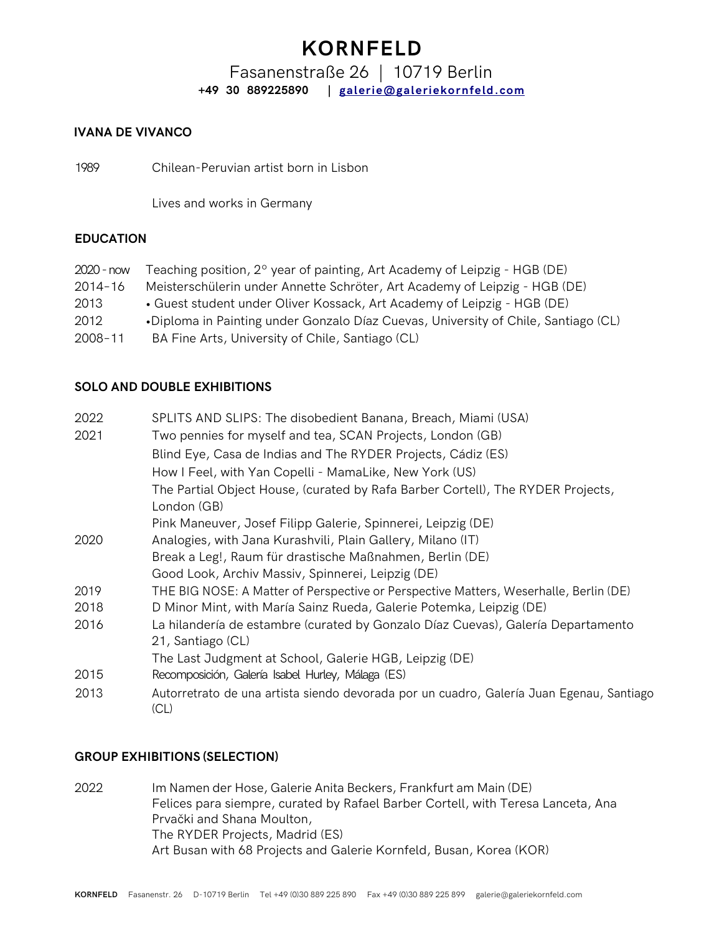## **KORNFELD**

### Fasanenstraße 26 | 10719 Berlin **+49 30 889225890 | [galerie@galeriekornfeld.com](mailto:galerie@galeriekornfeld.com)**

#### **IVANA DE VIVANCO**

1989 Chilean-Peruvian artist born in Lisbon

Lives and works in Germany

#### **EDUCATION**

| $2020 - now$ | Teaching position, $2^{\circ}$ year of painting, Art Academy of Leipzig - HGB (DE) |
|--------------|------------------------------------------------------------------------------------|
| $2014 - 16$  | Meisterschülerin under Annette Schröter, Art Academy of Leipzig - HGB (DE)         |
| 2013         | • Guest student under Oliver Kossack, Art Academy of Leipzig - HGB (DE)            |
| 2012         | •Diploma in Painting under Gonzalo Díaz Cuevas, University of Chile, Santiago (CL) |
| $2008 - 11$  | BA Fine Arts, University of Chile, Santiago (CL)                                   |

#### **SOLO AND DOUBLE EXHIBITIONS**

| 2022 | SPLITS AND SLIPS: The disobedient Banana, Breach, Miami (USA)                                    |
|------|--------------------------------------------------------------------------------------------------|
| 2021 | Two pennies for myself and tea, SCAN Projects, London (GB)                                       |
|      | Blind Eye, Casa de Indias and The RYDER Projects, Cádiz (ES)                                     |
|      | How I Feel, with Yan Copelli - MamaLike, New York (US)                                           |
|      | The Partial Object House, (curated by Rafa Barber Cortell), The RYDER Projects,                  |
|      | London (GB)                                                                                      |
|      | Pink Maneuver, Josef Filipp Galerie, Spinnerei, Leipzig (DE)                                     |
| 2020 | Analogies, with Jana Kurashvili, Plain Gallery, Milano (IT)                                      |
|      | Break a Leg!, Raum für drastische Maßnahmen, Berlin (DE)                                         |
|      | Good Look, Archiv Massiv, Spinnerei, Leipzig (DE)                                                |
| 2019 | THE BIG NOSE: A Matter of Perspective or Perspective Matters, Weserhalle, Berlin (DE)            |
| 2018 | D Minor Mint, with María Sainz Rueda, Galerie Potemka, Leipzig (DE)                              |
| 2016 | La hilandería de estambre (curated by Gonzalo Díaz Cuevas), Galería Departamento                 |
|      | 21, Santiago (CL)                                                                                |
|      | The Last Judgment at School, Galerie HGB, Leipzig (DE)                                           |
| 2015 | Recomposición, Galería Isabel Hurley, Málaga (ES)                                                |
| 2013 | Autorretrato de una artista siendo devorada por un cuadro, Galería Juan Egenau, Santiago<br>(CL) |

#### **GROUP EXHIBITIONS (SELECTION)**

2022 Im Namen der Hose, Galerie Anita Beckers, Frankfurt am Main (DE) Felices para siempre, curated by Rafael Barber Cortell, with Teresa Lanceta, Ana Prvački and Shana Moulton, The RYDER Projects, Madrid (ES) Art Busan with 68 Projects and Galerie Kornfeld, Busan, Korea (KOR)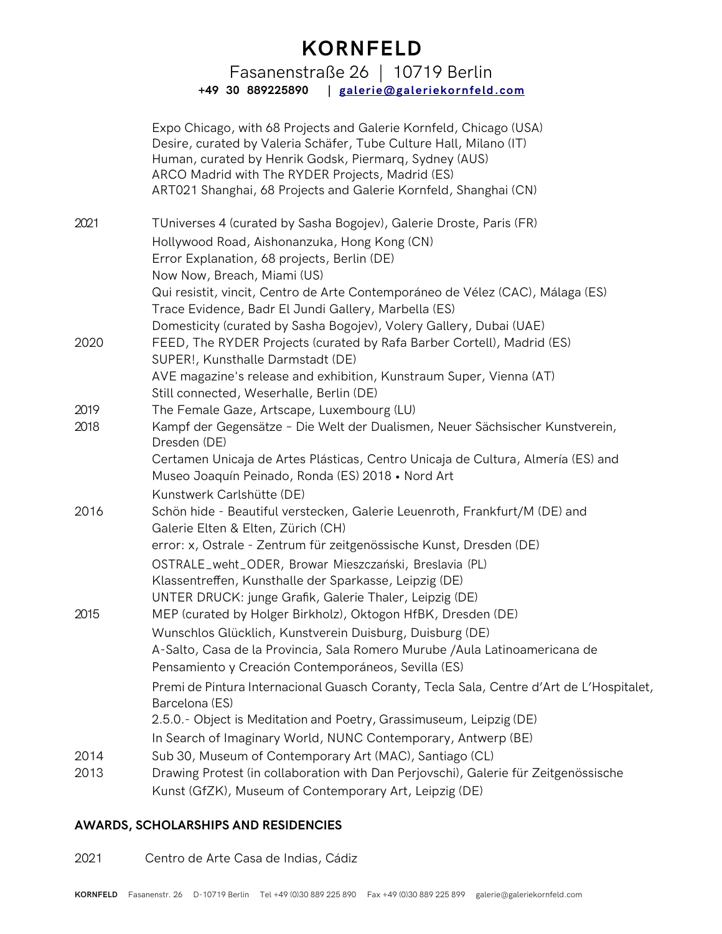## **KORNFELD**

Fasanenstraße 26 | 10719 Berlin **+49 30 889225890 | [galerie@galeriekornfeld.com](mailto:galerie@galeriekornfeld.com)**

|      | Expo Chicago, with 68 Projects and Galerie Kornfeld, Chicago (USA)<br>Desire, curated by Valeria Schäfer, Tube Culture Hall, Milano (IT)<br>Human, curated by Henrik Godsk, Piermarq, Sydney (AUS)<br>ARCO Madrid with The RYDER Projects, Madrid (ES)<br>ART021 Shanghai, 68 Projects and Galerie Kornfeld, Shanghai (CN) |
|------|----------------------------------------------------------------------------------------------------------------------------------------------------------------------------------------------------------------------------------------------------------------------------------------------------------------------------|
| 2021 | TUniverses 4 (curated by Sasha Bogojev), Galerie Droste, Paris (FR)                                                                                                                                                                                                                                                        |
|      | Hollywood Road, Aishonanzuka, Hong Kong (CN)                                                                                                                                                                                                                                                                               |
|      | Error Explanation, 68 projects, Berlin (DE)                                                                                                                                                                                                                                                                                |
|      | Now Now, Breach, Miami (US)                                                                                                                                                                                                                                                                                                |
|      | Qui resistit, vincit, Centro de Arte Contemporáneo de Vélez (CAC), Málaga (ES)<br>Trace Evidence, Badr El Jundi Gallery, Marbella (ES)                                                                                                                                                                                     |
|      | Domesticity (curated by Sasha Bogojev), Volery Gallery, Dubai (UAE)                                                                                                                                                                                                                                                        |
| 2020 | FEED, The RYDER Projects (curated by Rafa Barber Cortell), Madrid (ES)<br>SUPER!, Kunsthalle Darmstadt (DE)                                                                                                                                                                                                                |
|      | AVE magazine's release and exhibition, Kunstraum Super, Vienna (AT)<br>Still connected, Weserhalle, Berlin (DE)                                                                                                                                                                                                            |
| 2019 | The Female Gaze, Artscape, Luxembourg (LU)                                                                                                                                                                                                                                                                                 |
| 2018 | Kampf der Gegensätze - Die Welt der Dualismen, Neuer Sächsischer Kunstverein,<br>Dresden (DE)                                                                                                                                                                                                                              |
|      | Certamen Unicaja de Artes Plásticas, Centro Unicaja de Cultura, Almería (ES) and<br>Museo Joaquín Peinado, Ronda (ES) 2018 • Nord Art                                                                                                                                                                                      |
|      | Kunstwerk Carlshütte (DE)                                                                                                                                                                                                                                                                                                  |
| 2016 | Schön hide - Beautiful verstecken, Galerie Leuenroth, Frankfurt/M (DE) and<br>Galerie Elten & Elten, Zürich (CH)                                                                                                                                                                                                           |
|      | error: x, Ostrale - Zentrum für zeitgenössische Kunst, Dresden (DE)                                                                                                                                                                                                                                                        |
|      | OSTRALE_weht_ODER, Browar Mieszczański, Breslavia (PL)                                                                                                                                                                                                                                                                     |
|      | Klassentreffen, Kunsthalle der Sparkasse, Leipzig (DE)                                                                                                                                                                                                                                                                     |
|      | UNTER DRUCK: junge Grafik, Galerie Thaler, Leipzig (DE)                                                                                                                                                                                                                                                                    |
| 2015 | MEP (curated by Holger Birkholz), Oktogon HfBK, Dresden (DE)                                                                                                                                                                                                                                                               |
|      | Wunschlos Glücklich, Kunstverein Duisburg, Duisburg (DE)                                                                                                                                                                                                                                                                   |
|      | A-Salto, Casa de la Provincia, Sala Romero Murube /Aula Latinoamericana de                                                                                                                                                                                                                                                 |
|      | Pensamiento y Creación Contemporáneos, Sevilla (ES)                                                                                                                                                                                                                                                                        |
|      | Premi de Pintura Internacional Guasch Coranty, Tecla Sala, Centre d'Art de L'Hospitalet,<br>Barcelona (ES)                                                                                                                                                                                                                 |
|      | 2.5.0.- Object is Meditation and Poetry, Grassimuseum, Leipzig (DE)                                                                                                                                                                                                                                                        |
|      | In Search of Imaginary World, NUNC Contemporary, Antwerp (BE)                                                                                                                                                                                                                                                              |
| 2014 | Sub 30, Museum of Contemporary Art (MAC), Santiago (CL)                                                                                                                                                                                                                                                                    |
| 2013 | Drawing Protest (in collaboration with Dan Perjovschi), Galerie für Zeitgenössische                                                                                                                                                                                                                                        |
|      | Kunst (GfZK), Museum of Contemporary Art, Leipzig (DE)                                                                                                                                                                                                                                                                     |

#### **AWARDS, SCHOLARSHIPS AND RESIDENCIES**

2021 Centro de Arte Casa de Indias, Cádiz